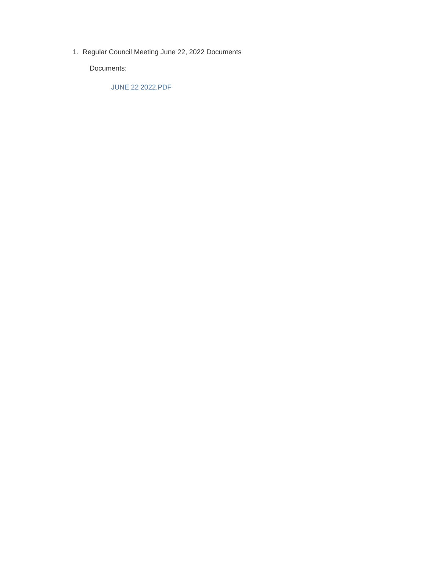1. Regular Council Meeting June 22, 2022 Documents

Documents:

JUNE 22 2022.PDF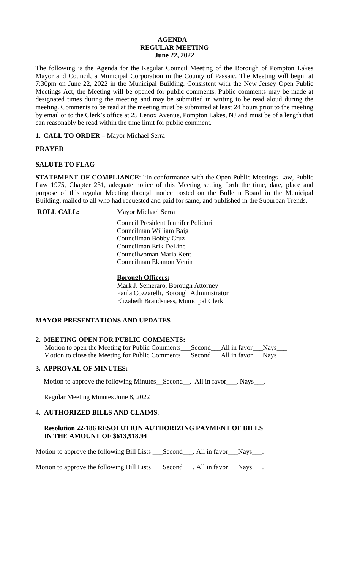### **AGENDA REGULAR MEETING June 22, 2022**

The following is the Agenda for the Regular Council Meeting of the Borough of Pompton Lakes Mayor and Council, a Municipal Corporation in the County of Passaic. The Meeting will begin at 7:30pm on June 22, 2022 in the Municipal Building. Consistent with the New Jersey Open Public Meetings Act, the Meeting will be opened for public comments. Public comments may be made at designated times during the meeting and may be submitted in writing to be read aloud during the meeting. Comments to be read at the meeting must be submitted at least 24 hours prior to the meeting by email or to the Clerk's office at 25 Lenox Avenue, Pompton Lakes, NJ and must be of a length that can reasonably be read within the time limit for public comment.

**1. CALL TO ORDER** – Mayor Michael Serra

# **PRAYER**

# **SALUTE TO FLAG**

**STATEMENT OF COMPLIANCE**: "In conformance with the Open Public Meetings Law, Public Law 1975, Chapter 231, adequate notice of this Meeting setting forth the time, date, place and purpose of this regular Meeting through notice posted on the Bulletin Board in the Municipal Building, mailed to all who had requested and paid for same, and published in the Suburban Trends.

**ROLL CALL:** Mayor Michael Serra

 Council President Jennifer Polidori Councilman William Baig Councilman Bobby Cruz Councilman Erik DeLine Councilwoman Maria Kent Councilman Ekamon Venin

# **Borough Officers:**

Mark J. Semeraro, Borough Attorney Paula Cozzarelli, Borough Administrator Elizabeth Brandsness, Municipal Clerk

# **MAYOR PRESENTATIONS AND UPDATES**

# **2. MEETING OPEN FOR PUBLIC COMMENTS:**

Motion to open the Meeting for Public Comments\_\_\_Second\_\_\_All in favor\_\_\_Nays\_\_\_ Motion to close the Meeting for Public Comments\_\_\_Second\_\_\_All in favor\_\_\_Nays\_\_\_

# **3. APPROVAL OF MINUTES:**

Motion to approve the following Minutes\_Second\_\_. All in favor\_\_\_, Nays\_\_\_.

Regular Meeting Minutes June 8, 2022

## **4**. **AUTHORIZED BILLS AND CLAIMS**:

## **Resolution 22-186 RESOLUTION AUTHORIZING PAYMENT OF BILLS IN THE AMOUNT OF \$613,918.94**

Motion to approve the following Bill Lists \_\_\_Second\_\_\_. All in favor\_\_\_Nays\_\_\_.

Motion to approve the following Bill Lists \_\_\_Second\_\_\_. All in favor\_\_\_Nays\_\_\_.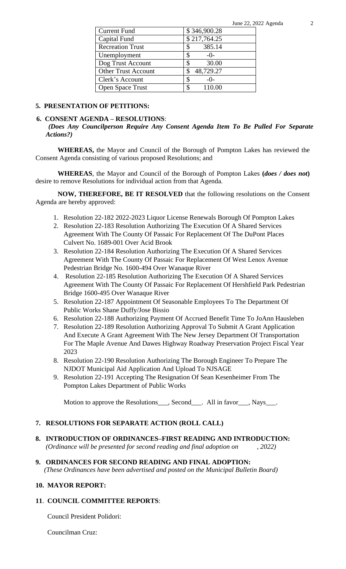| <b>Current Fund</b>        | \$346,900.28 |
|----------------------------|--------------|
| Capital Fund               | \$217,764.25 |
| <b>Recreation Trust</b>    | 385.14<br>\$ |
| Unemployment               | $-0-$        |
| Dog Trust Account          | 30.00        |
| <b>Other Trust Account</b> | 48,729.27    |
| Clerk's Account            | S<br>$-()$ - |
| Open Space Trust           | 110.00       |

#### **5. PRESENTATION OF PETITIONS:**

#### **6. CONSENT AGENDA – RESOLUTIONS**:

*(Does Any Councilperson Require Any Consent Agenda Item To Be Pulled For Separate Actions?)*

**WHEREAS,** the Mayor and Council of the Borough of Pompton Lakes has reviewed the Consent Agenda consisting of various proposed Resolutions; and

**WHEREAS**, the Mayor and Council of the Borough of Pompton Lakes **(***does / does not***)** desire to remove Resolutions for individual action from that Agenda.

**NOW, THEREFORE, BE IT RESOLVED** that the following resolutions on the Consent Agenda are hereby approved:

- 1. Resolution 22-182 2022-2023 Liquor License Renewals Borough Of Pompton Lakes
- 2. Resolution 22-183 Resolution Authorizing The Execution Of A Shared Services Agreement With The County Of Passaic For Replacement Of The DuPont Places Culvert No. 1689-001 Over Acid Brook
- 3. Resolution 22-184 Resolution Authorizing The Execution Of A Shared Services Agreement With The County Of Passaic For Replacement Of West Lenox Avenue Pedestrian Bridge No. 1600-494 Over Wanaque River
- 4. Resolution 22-185 Resolution Authorizing The Execution Of A Shared Services Agreement With The County Of Passaic For Replacement Of Hershfield Park Pedestrian Bridge 1600-495 Over Wanaque River
- 5. Resolution 22-187 Appointment Of Seasonable Employees To The Department Of Public Works Shane Duffy/Jose Bissio
- 6. Resolution 22-188 Authorizing Payment Of Accrued Benefit Time To JoAnn Hausleben
- 7. Resolution 22-189 Resolution Authorizing Approval To Submit A Grant Application And Execute A Grant Agreement With The New Jersey Department Of Transportation For The Maple Avenue And Dawes Highway Roadway Preservation Project Fiscal Year 2023
- 8. Resolution 22-190 Resolution Authorizing The Borough Engineer To Prepare The NJDOT Municipal Aid Application And Upload To NJSAGE
- 9. Resolution 22-191 Accepting The Resignation Of Sean Kesenheimer From The Pompton Lakes Department of Public Works

Motion to approve the Resolutions<sub>\_\_\_\_</sub>, Second\_\_\_\_. All in favor\_\_\_\_, Nays\_\_\_\_.

## **7. RESOLUTIONS FOR SEPARATE ACTION (ROLL CALL)**

**8. INTRODUCTION OF ORDINANCES–FIRST READING AND INTRODUCTION:**  *(Ordinance will be presented for second reading and final adoption on , 2022)*

# **9. ORDINANCES FOR SECOND READING AND FINAL ADOPTION:**

 *(These Ordinances have been advertised and posted on the Municipal Bulletin Board)*

## **10. MAYOR REPORT:**

## **11**. **COUNCIL COMMITTEE REPORTS**:

Council President Polidori:

Councilman Cruz: